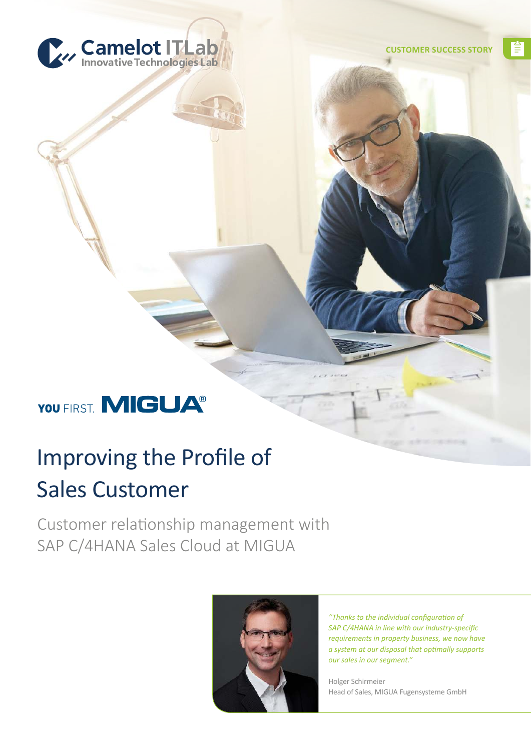

쫕

# YOU FIRST. MIGUA<sup>®</sup>

# Improving the Profile of Sales Customer

Customer relationship management with SAP C/4HANA Sales Cloud at MIGUA



*"Thanks to the individual configuration of SAP C/4HANA in line with our industry-specific requirements in property business, we now have a system at our disposal that optimally supports our sales in our segment."*

Holger Schirmeier Head of Sales, MIGUA Fugensysteme GmbH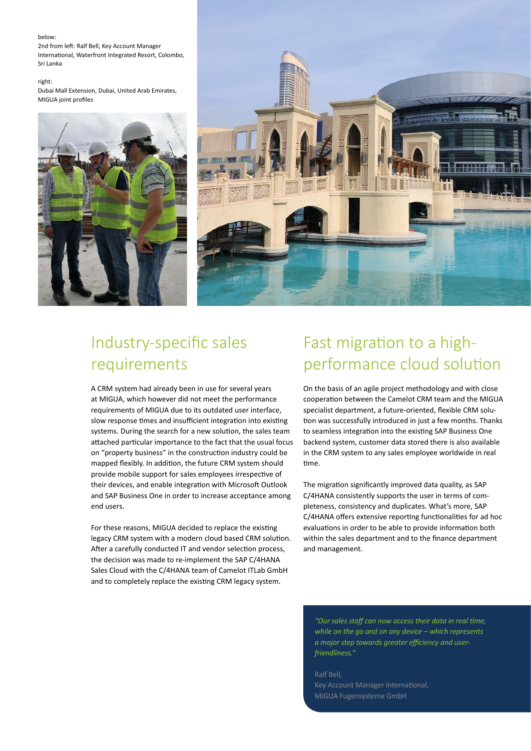#### below:

2nd from left: Ralf Bell, Key Account Manager International, Waterfront Integrated Resort, Colombo, Sri Lanka

#### right:

Dubai Mall Extension, Dubai, United Arab Emirates, MIGUA joint profiles





# Industry-specific sales requirements

A CRM system had already been in use for several years at MIGUA, which however did not meet the performance requirements of MIGUA due to its outdated user interface, slow response times and insufficient integration into existing systems. During the search for a new solution, the sales team attached particular importance to the fact that the usual focus on "property business" in the construction industry could be mapped flexibly. In addition, the future CRM system should provide mobile support for sales employees irrespective of their devices, and enable integration with Microsoft Outlook and SAP Business One in order to increase acceptance among end users.

For these reasons, MIGUA decided to replace the existing legacy CRM system with a modern cloud based CRM solution. After a carefully conducted IT and vendor selection process, the decision was made to re-implement the SAP C/4HANA Sales Cloud with the C/4HANA team of Camelot ITLab GmbH and to completely replace the existing CRM legacy system.

# Fast migration to a highperformance cloud solution

On the basis of an agile project methodology and with close cooperation between the Camelot CRM team and the MIGUA specialist department, a future-oriented, flexible CRM solution was successfully introduced in just a few months. Thanks to seamless integration into the existing SAP Business One backend system, customer data stored there is also available in the CRM system to any sales employee worldwide in real time.

The migration significantly improved data quality, as SAP C/4HANA consistently supports the user in terms of completeness, consistency and duplicates. What's more, SAP C/4HANA offers extensive reporting functionalities for ad hoc evaluations in order to be able to provide information both within the sales department and to the finance department and management.

*"Our sales staff can now access their data in real time, while on the go and on any device – which represents a major step towards greater efficiency and userfriendliness."*

Ralf Bell, Key Account Manager International, MIGUA Fugensysteme GmbH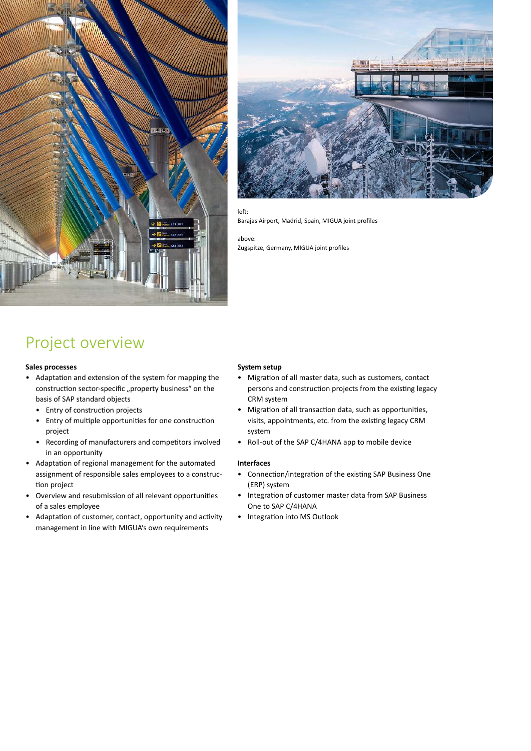



#### left:

Barajas Airport, Madrid, Spain, MIGUA joint profiles

above:

Zugspitze, Germany, MIGUA joint profiles

## Project overview

#### **Sales processes**

- Adaptation and extension of the system for mapping the construction sector-specific "property business" on the basis of SAP standard objects
	- Entry of construction projects
	- Entry of multiple opportunities for one construction project
	- Recording of manufacturers and competitors involved in an opportunity
- Adaptation of regional management for the automated assignment of responsible sales employees to a construc tion project
- Overview and resubmission of all relevant opportunities of a sales employee
- Adaptation of customer, contact, opportunity and activity management in line with MIGUA's own requirements

#### **System setup**

- Migration of all master data, such as customers, contact persons and construction projects from the existing legacy CRM system
- Migration of all transaction data, such as opportunities, visits, appointments, etc. from the existing legacy CRM system
- Roll-out of the SAP C/4HANA app to mobile device

#### **Interfaces**

- Connection/integration of the existing SAP Business One (ERP) system
- Integration of customer master data from SAP Business One to SAP C/4HANA
- Integration into MS Outlook